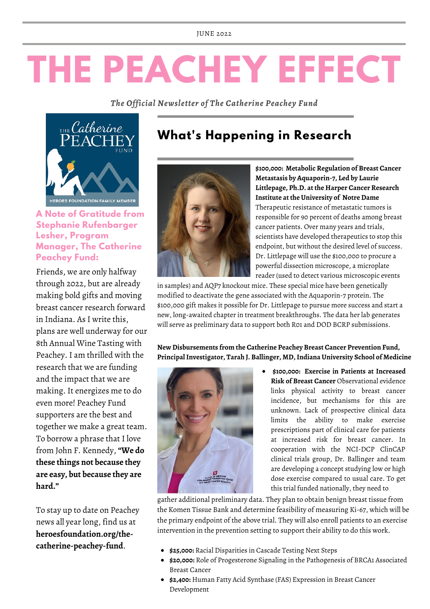# **THE PEACHEY EFFECT**

*The Official Newsletter of The Catherine Peachey Fund*



### **A Note of Gratitude from Stephanie Rufenbarger Lesher, Program Manager, The Catherine Peachey Fund:**

Friends, we are only halfway through 2022, but are already making bold gifts and moving breast cancer research forward in Indiana. As I write this, plans are well underway for our 8th Annual Wine Tasting with Peachey. I am thrilled with the research that we are funding and the impact that we are making. It energizes me to do even more! Peachey Fund supporters are the best and together we make a great team. To borrow a phrase that I love from John F. Kennedy,**"We do these things not because they are easy, but because they are hard."**

To stay up to date on Peachey news all year long, find us at **heroesfoundation.org/thecatherine-peachey-fund**.

# **What's Happening in Research**



**\$100,000: Metabolic Regulation of Breast Cancer Metastasis by Aquaporin-7, Led by Laurie Littlepage, Ph.D. at the Harper Cancer Research Institute at the University of Notre Dame** Therapeutic resistance of metastatic tumors is responsible for 90 percent of deaths among breast cancer patients. Over many years and trials, scientists have developed therapeutics to stop this endpoint, but without the desired level of success. Dr. Littlepage will use the \$100,000 to procure a powerful dissection microscope, a microplate reader (used to detect various microscopic events

in samples) and AQP7 knockout mice. These special mice have been genetically modified to deactivate the gene associated with the Aquaporin-7 protein. The \$100,000 gift makes it possible for Dr. Littlepage to pursue more success and start a new, long-awaited chapter in treatment breakthroughs. The data her lab generates will serve as preliminary data to support both R01 and DOD BCRP submissions.

**New Disbursements from the Catherine Peachey Breast Cancer Prevention Fund, PrincipalInvestigator, Tarah J. Ballinger, MD,Indiana University School of Medicine**



**\$100,000: Exercise in Patients at Increased Risk of Breast Cancer** Observational evidence links physical activity to breast cancer incidence, but mechanisms for this are unknown. Lack of prospective clinical data limits the ability to make exercise prescriptions part of clinical care for patients at increased risk for breast cancer. In cooperation with the NCI-DCP ClinCAP clinical trials group, Dr. Ballinger and team are developing a concept studying low or high dose exercise compared to usual care. To get this trial funded nationally, they need to

gather additional preliminary data. They plan to obtain benign breast tissue from the Komen Tissue Bank and determine feasibility of measuring Ki-67, which will be the primary endpoint of the above trial. They will also enroll patients to an exercise intervention in the prevention setting to support their ability to do this work.

- **\$25,000:** Racial Disparities in Cascade Testing Next Steps
- **\$20,000:** Role of Progesterone Signaling in the Pathogenesis of BRCA1 Associated Breast Cancer
- **\$2,400:** Human Fatty Acid Synthase (FAS) Expression in Breast Cancer Development